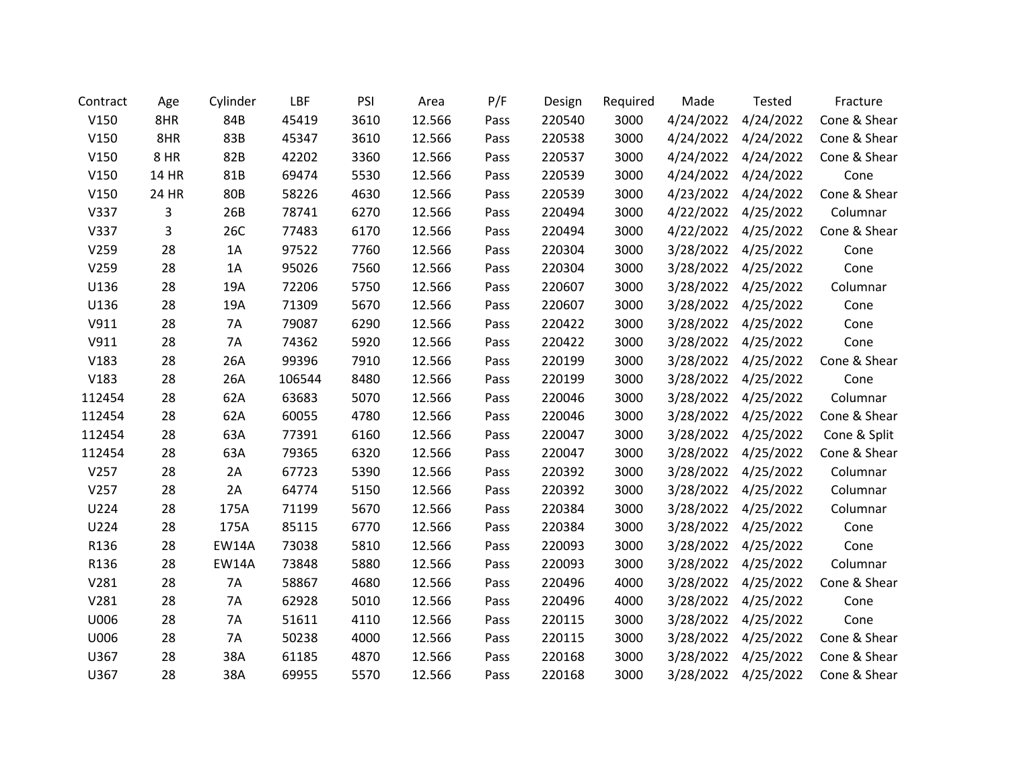| Contract | Age          | Cylinder     | LBF    | PSI  | Area   | P/F  | Design | Required | Made      | <b>Tested</b>       | Fracture     |
|----------|--------------|--------------|--------|------|--------|------|--------|----------|-----------|---------------------|--------------|
| V150     | 8HR          | 84B          | 45419  | 3610 | 12.566 | Pass | 220540 | 3000     | 4/24/2022 | 4/24/2022           | Cone & Shear |
| V150     | 8HR          | 83B          | 45347  | 3610 | 12.566 | Pass | 220538 | 3000     |           | 4/24/2022 4/24/2022 | Cone & Shear |
| V150     | 8 HR         | 82B          | 42202  | 3360 | 12.566 | Pass | 220537 | 3000     | 4/24/2022 | 4/24/2022           | Cone & Shear |
| V150     | <b>14 HR</b> | 81B          | 69474  | 5530 | 12.566 | Pass | 220539 | 3000     | 4/24/2022 | 4/24/2022           | Cone         |
| V150     | 24 HR        | <b>80B</b>   | 58226  | 4630 | 12.566 | Pass | 220539 | 3000     | 4/23/2022 | 4/24/2022           | Cone & Shear |
| V337     | 3            | 26B          | 78741  | 6270 | 12.566 | Pass | 220494 | 3000     | 4/22/2022 | 4/25/2022           | Columnar     |
| V337     | 3            | 26C          | 77483  | 6170 | 12.566 | Pass | 220494 | 3000     | 4/22/2022 | 4/25/2022           | Cone & Shear |
| V259     | 28           | 1A           | 97522  | 7760 | 12.566 | Pass | 220304 | 3000     | 3/28/2022 | 4/25/2022           | Cone         |
| V259     | 28           | 1A           | 95026  | 7560 | 12.566 | Pass | 220304 | 3000     | 3/28/2022 | 4/25/2022           | Cone         |
| U136     | 28           | 19A          | 72206  | 5750 | 12.566 | Pass | 220607 | 3000     | 3/28/2022 | 4/25/2022           | Columnar     |
| U136     | 28           | 19A          | 71309  | 5670 | 12.566 | Pass | 220607 | 3000     | 3/28/2022 | 4/25/2022           | Cone         |
| V911     | 28           | 7A           | 79087  | 6290 | 12.566 | Pass | 220422 | 3000     | 3/28/2022 | 4/25/2022           | Cone         |
| V911     | 28           | 7A           | 74362  | 5920 | 12.566 | Pass | 220422 | 3000     | 3/28/2022 | 4/25/2022           | Cone         |
| V183     | 28           | 26A          | 99396  | 7910 | 12.566 | Pass | 220199 | 3000     | 3/28/2022 | 4/25/2022           | Cone & Shear |
| V183     | 28           | 26A          | 106544 | 8480 | 12.566 | Pass | 220199 | 3000     | 3/28/2022 | 4/25/2022           | Cone         |
| 112454   | 28           | 62A          | 63683  | 5070 | 12.566 | Pass | 220046 | 3000     | 3/28/2022 | 4/25/2022           | Columnar     |
| 112454   | 28           | 62A          | 60055  | 4780 | 12.566 | Pass | 220046 | 3000     | 3/28/2022 | 4/25/2022           | Cone & Shear |
| 112454   | 28           | 63A          | 77391  | 6160 | 12.566 | Pass | 220047 | 3000     | 3/28/2022 | 4/25/2022           | Cone & Split |
| 112454   | 28           | 63A          | 79365  | 6320 | 12.566 | Pass | 220047 | 3000     |           | 3/28/2022 4/25/2022 | Cone & Shear |
| V257     | 28           | 2A           | 67723  | 5390 | 12.566 | Pass | 220392 | 3000     | 3/28/2022 | 4/25/2022           | Columnar     |
| V257     | 28           | 2A           | 64774  | 5150 | 12.566 | Pass | 220392 | 3000     | 3/28/2022 | 4/25/2022           | Columnar     |
| U224     | 28           | 175A         | 71199  | 5670 | 12.566 | Pass | 220384 | 3000     | 3/28/2022 | 4/25/2022           | Columnar     |
| U224     | 28           | 175A         | 85115  | 6770 | 12.566 | Pass | 220384 | 3000     | 3/28/2022 | 4/25/2022           | Cone         |
| R136     | 28           | <b>EW14A</b> | 73038  | 5810 | 12.566 | Pass | 220093 | 3000     | 3/28/2022 | 4/25/2022           | Cone         |
| R136     | 28           | <b>EW14A</b> | 73848  | 5880 | 12.566 | Pass | 220093 | 3000     | 3/28/2022 | 4/25/2022           | Columnar     |
| V281     | 28           | 7A           | 58867  | 4680 | 12.566 | Pass | 220496 | 4000     | 3/28/2022 | 4/25/2022           | Cone & Shear |
| V281     | 28           | 7A           | 62928  | 5010 | 12.566 | Pass | 220496 | 4000     | 3/28/2022 | 4/25/2022           | Cone         |
| U006     | 28           | 7A           | 51611  | 4110 | 12.566 | Pass | 220115 | 3000     | 3/28/2022 | 4/25/2022           | Cone         |
| U006     | 28           | 7A           | 50238  | 4000 | 12.566 | Pass | 220115 | 3000     | 3/28/2022 | 4/25/2022           | Cone & Shear |
| U367     | 28           | 38A          | 61185  | 4870 | 12.566 | Pass | 220168 | 3000     | 3/28/2022 | 4/25/2022           | Cone & Shear |
| U367     | 28           | 38A          | 69955  | 5570 | 12.566 | Pass | 220168 | 3000     | 3/28/2022 | 4/25/2022           | Cone & Shear |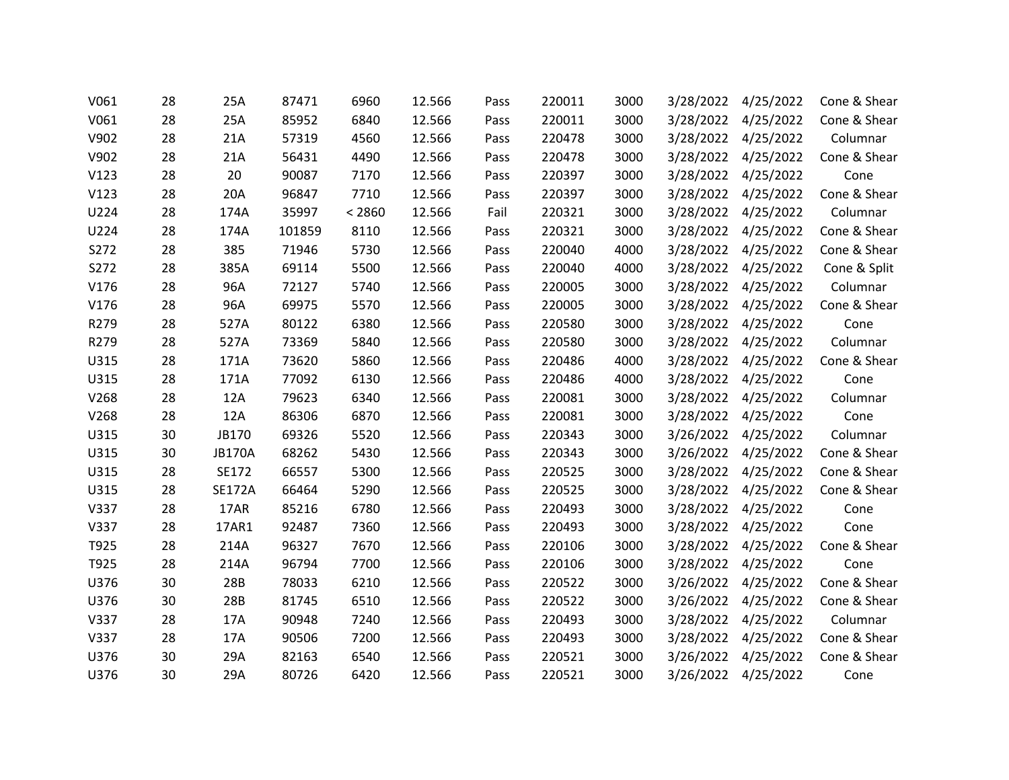| V061 | 28 | 25A           | 87471  | 6960   | 12.566 | Pass | 220011 | 3000 | 3/28/2022 | 4/25/2022           | Cone & Shear |
|------|----|---------------|--------|--------|--------|------|--------|------|-----------|---------------------|--------------|
| V061 | 28 | 25A           | 85952  | 6840   | 12.566 | Pass | 220011 | 3000 | 3/28/2022 | 4/25/2022           | Cone & Shear |
| V902 | 28 | 21A           | 57319  | 4560   | 12.566 | Pass | 220478 | 3000 |           | 3/28/2022 4/25/2022 | Columnar     |
| V902 | 28 | 21A           | 56431  | 4490   | 12.566 | Pass | 220478 | 3000 | 3/28/2022 | 4/25/2022           | Cone & Shear |
| V123 | 28 | 20            | 90087  | 7170   | 12.566 | Pass | 220397 | 3000 | 3/28/2022 | 4/25/2022           | Cone         |
| V123 | 28 | 20A           | 96847  | 7710   | 12.566 | Pass | 220397 | 3000 |           | 3/28/2022 4/25/2022 | Cone & Shear |
| U224 | 28 | 174A          | 35997  | < 2860 | 12.566 | Fail | 220321 | 3000 | 3/28/2022 | 4/25/2022           | Columnar     |
| U224 | 28 | 174A          | 101859 | 8110   | 12.566 | Pass | 220321 | 3000 |           | 3/28/2022 4/25/2022 | Cone & Shear |
| S272 | 28 | 385           | 71946  | 5730   | 12.566 | Pass | 220040 | 4000 |           | 3/28/2022 4/25/2022 | Cone & Shear |
| S272 | 28 | 385A          | 69114  | 5500   | 12.566 | Pass | 220040 | 4000 | 3/28/2022 | 4/25/2022           | Cone & Split |
| V176 | 28 | 96A           | 72127  | 5740   | 12.566 | Pass | 220005 | 3000 | 3/28/2022 | 4/25/2022           | Columnar     |
| V176 | 28 | 96A           | 69975  | 5570   | 12.566 | Pass | 220005 | 3000 |           | 3/28/2022 4/25/2022 | Cone & Shear |
| R279 | 28 | 527A          | 80122  | 6380   | 12.566 | Pass | 220580 | 3000 | 3/28/2022 | 4/25/2022           | Cone         |
| R279 | 28 | 527A          | 73369  | 5840   | 12.566 | Pass | 220580 | 3000 |           | 3/28/2022 4/25/2022 | Columnar     |
| U315 | 28 | 171A          | 73620  | 5860   | 12.566 | Pass | 220486 | 4000 | 3/28/2022 | 4/25/2022           | Cone & Shear |
| U315 | 28 | 171A          | 77092  | 6130   | 12.566 | Pass | 220486 | 4000 | 3/28/2022 | 4/25/2022           | Cone         |
| V268 | 28 | 12A           | 79623  | 6340   | 12.566 | Pass | 220081 | 3000 |           | 3/28/2022 4/25/2022 | Columnar     |
| V268 | 28 | 12A           | 86306  | 6870   | 12.566 | Pass | 220081 | 3000 | 3/28/2022 | 4/25/2022           | Cone         |
| U315 | 30 | JB170         | 69326  | 5520   | 12.566 | Pass | 220343 | 3000 | 3/26/2022 | 4/25/2022           | Columnar     |
| U315 | 30 | <b>JB170A</b> | 68262  | 5430   | 12.566 | Pass | 220343 | 3000 |           | 3/26/2022 4/25/2022 | Cone & Shear |
| U315 | 28 | SE172         | 66557  | 5300   | 12.566 | Pass | 220525 | 3000 | 3/28/2022 | 4/25/2022           | Cone & Shear |
| U315 | 28 | <b>SE172A</b> | 66464  | 5290   | 12.566 | Pass | 220525 | 3000 | 3/28/2022 | 4/25/2022           | Cone & Shear |
| V337 | 28 | 17AR          | 85216  | 6780   | 12.566 | Pass | 220493 | 3000 |           | 3/28/2022 4/25/2022 | Cone         |
| V337 | 28 | 17AR1         | 92487  | 7360   | 12.566 | Pass | 220493 | 3000 | 3/28/2022 | 4/25/2022           | Cone         |
| T925 | 28 | 214A          | 96327  | 7670   | 12.566 | Pass | 220106 | 3000 |           | 3/28/2022 4/25/2022 | Cone & Shear |
| T925 | 28 | 214A          | 96794  | 7700   | 12.566 | Pass | 220106 | 3000 |           | 3/28/2022 4/25/2022 | Cone         |
| U376 | 30 | 28B           | 78033  | 6210   | 12.566 | Pass | 220522 | 3000 | 3/26/2022 | 4/25/2022           | Cone & Shear |
| U376 | 30 | 28B           | 81745  | 6510   | 12.566 | Pass | 220522 | 3000 | 3/26/2022 | 4/25/2022           | Cone & Shear |
| V337 | 28 | 17A           | 90948  | 7240   | 12.566 | Pass | 220493 | 3000 |           | 3/28/2022 4/25/2022 | Columnar     |
| V337 | 28 | 17A           | 90506  | 7200   | 12.566 | Pass | 220493 | 3000 | 3/28/2022 | 4/25/2022           | Cone & Shear |
| U376 | 30 | 29A           | 82163  | 6540   | 12.566 | Pass | 220521 | 3000 | 3/26/2022 | 4/25/2022           | Cone & Shear |
| U376 | 30 | 29A           | 80726  | 6420   | 12.566 | Pass | 220521 | 3000 |           | 3/26/2022 4/25/2022 | Cone         |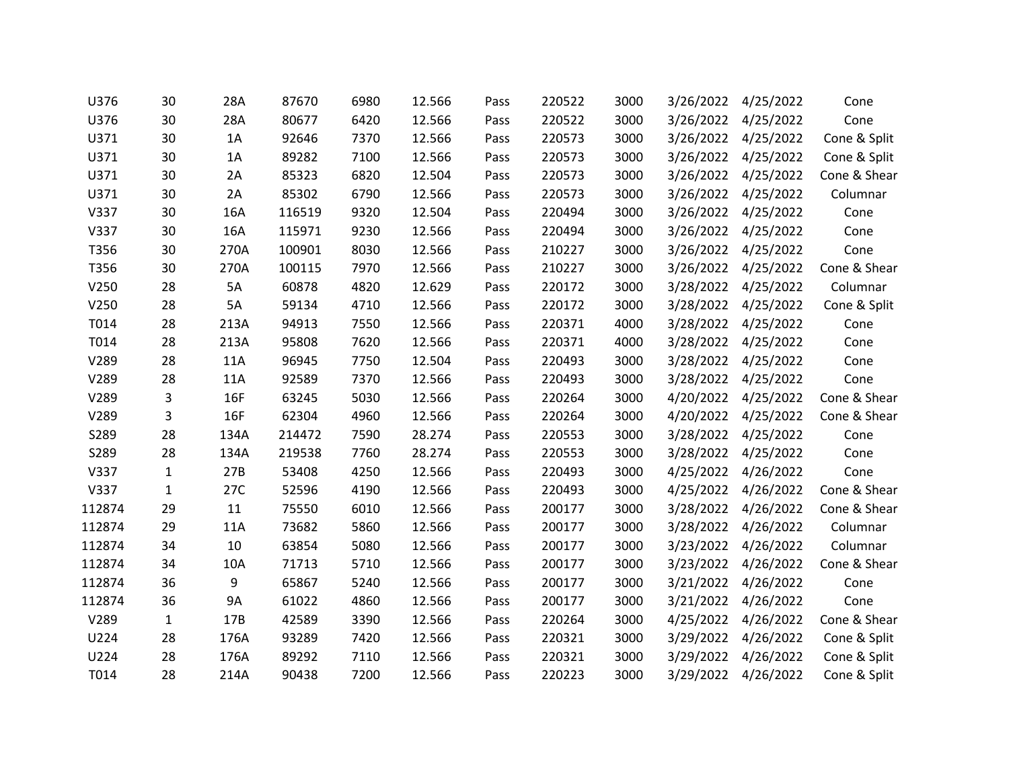| U376   | 30           | 28A        | 87670  | 6980 | 12.566 | Pass | 220522 | 3000 | 3/26/2022 | 4/25/2022           | Cone         |
|--------|--------------|------------|--------|------|--------|------|--------|------|-----------|---------------------|--------------|
| U376   | 30           | 28A        | 80677  | 6420 | 12.566 | Pass | 220522 | 3000 | 3/26/2022 | 4/25/2022           | Cone         |
| U371   | 30           | 1A         | 92646  | 7370 | 12.566 | Pass | 220573 | 3000 | 3/26/2022 | 4/25/2022           | Cone & Split |
| U371   | 30           | 1A         | 89282  | 7100 | 12.566 | Pass | 220573 | 3000 | 3/26/2022 | 4/25/2022           | Cone & Split |
| U371   | 30           | 2A         | 85323  | 6820 | 12.504 | Pass | 220573 | 3000 | 3/26/2022 | 4/25/2022           | Cone & Shear |
| U371   | 30           | 2A         | 85302  | 6790 | 12.566 | Pass | 220573 | 3000 | 3/26/2022 | 4/25/2022           | Columnar     |
| V337   | 30           | 16A        | 116519 | 9320 | 12.504 | Pass | 220494 | 3000 | 3/26/2022 | 4/25/2022           | Cone         |
| V337   | 30           | 16A        | 115971 | 9230 | 12.566 | Pass | 220494 | 3000 |           | 3/26/2022 4/25/2022 | Cone         |
| T356   | 30           | 270A       | 100901 | 8030 | 12.566 | Pass | 210227 | 3000 | 3/26/2022 | 4/25/2022           | Cone         |
| T356   | 30           | 270A       | 100115 | 7970 | 12.566 | Pass | 210227 | 3000 | 3/26/2022 | 4/25/2022           | Cone & Shear |
| V250   | 28           | 5A         | 60878  | 4820 | 12.629 | Pass | 220172 | 3000 | 3/28/2022 | 4/25/2022           | Columnar     |
| V250   | 28           | 5A         | 59134  | 4710 | 12.566 | Pass | 220172 | 3000 | 3/28/2022 | 4/25/2022           | Cone & Split |
| T014   | 28           | 213A       | 94913  | 7550 | 12.566 | Pass | 220371 | 4000 | 3/28/2022 | 4/25/2022           | Cone         |
| T014   | 28           | 213A       | 95808  | 7620 | 12.566 | Pass | 220371 | 4000 |           | 3/28/2022 4/25/2022 | Cone         |
| V289   | 28           | 11A        | 96945  | 7750 | 12.504 | Pass | 220493 | 3000 | 3/28/2022 | 4/25/2022           | Cone         |
| V289   | 28           | 11A        | 92589  | 7370 | 12.566 | Pass | 220493 | 3000 | 3/28/2022 | 4/25/2022           | Cone         |
| V289   | 3            | 16F        | 63245  | 5030 | 12.566 | Pass | 220264 | 3000 | 4/20/2022 | 4/25/2022           | Cone & Shear |
| V289   | 3            | <b>16F</b> | 62304  | 4960 | 12.566 | Pass | 220264 | 3000 | 4/20/2022 | 4/25/2022           | Cone & Shear |
| S289   | 28           | 134A       | 214472 | 7590 | 28.274 | Pass | 220553 | 3000 | 3/28/2022 | 4/25/2022           | Cone         |
| S289   | 28           | 134A       | 219538 | 7760 | 28.274 | Pass | 220553 | 3000 |           | 3/28/2022 4/25/2022 | Cone         |
| V337   | 1            | 27B        | 53408  | 4250 | 12.566 | Pass | 220493 | 3000 | 4/25/2022 | 4/26/2022           | Cone         |
| V337   | $\mathbf{1}$ | 27C        | 52596  | 4190 | 12.566 | Pass | 220493 | 3000 | 4/25/2022 | 4/26/2022           | Cone & Shear |
| 112874 | 29           | 11         | 75550  | 6010 | 12.566 | Pass | 200177 | 3000 | 3/28/2022 | 4/26/2022           | Cone & Shear |
| 112874 | 29           | 11A        | 73682  | 5860 | 12.566 | Pass | 200177 | 3000 | 3/28/2022 | 4/26/2022           | Columnar     |
| 112874 | 34           | 10         | 63854  | 5080 | 12.566 | Pass | 200177 | 3000 | 3/23/2022 | 4/26/2022           | Columnar     |
| 112874 | 34           | 10A        | 71713  | 5710 | 12.566 | Pass | 200177 | 3000 |           | 3/23/2022 4/26/2022 | Cone & Shear |
| 112874 | 36           | 9          | 65867  | 5240 | 12.566 | Pass | 200177 | 3000 | 3/21/2022 | 4/26/2022           | Cone         |
| 112874 | 36           | <b>9A</b>  | 61022  | 4860 | 12.566 | Pass | 200177 | 3000 | 3/21/2022 | 4/26/2022           | Cone         |
| V289   | $\mathbf{1}$ | 17B        | 42589  | 3390 | 12.566 | Pass | 220264 | 3000 | 4/25/2022 | 4/26/2022           | Cone & Shear |
| U224   | 28           | 176A       | 93289  | 7420 | 12.566 | Pass | 220321 | 3000 | 3/29/2022 | 4/26/2022           | Cone & Split |
| U224   | 28           | 176A       | 89292  | 7110 | 12.566 | Pass | 220321 | 3000 | 3/29/2022 | 4/26/2022           | Cone & Split |
| T014   | 28           | 214A       | 90438  | 7200 | 12.566 | Pass | 220223 | 3000 | 3/29/2022 | 4/26/2022           | Cone & Split |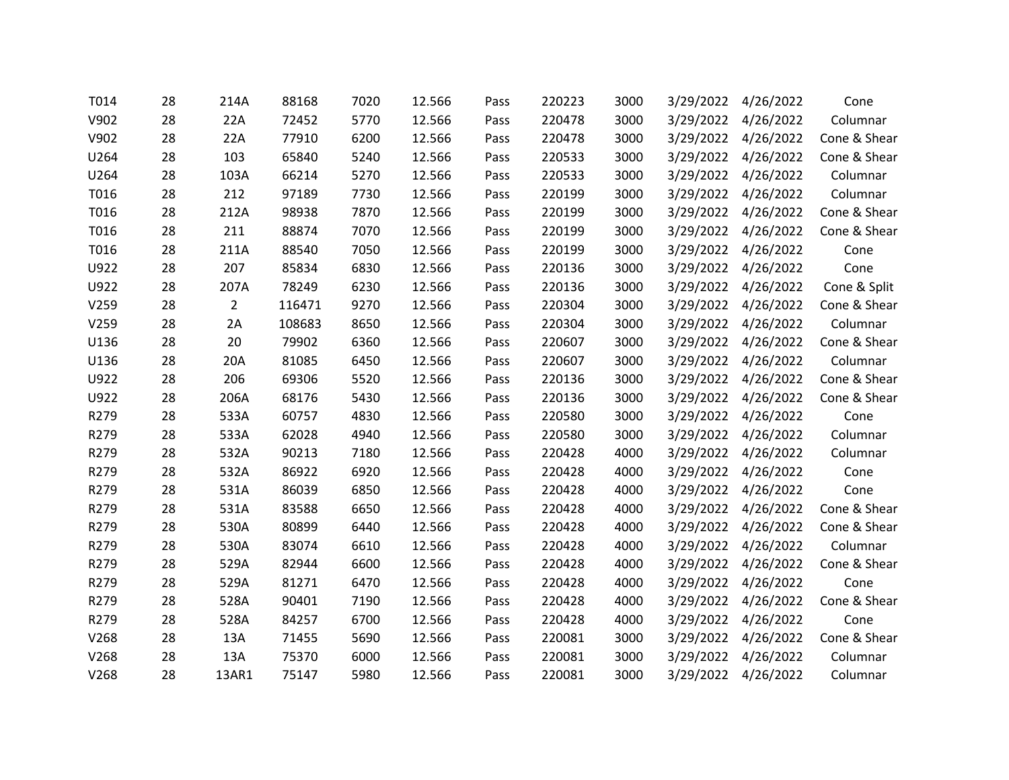| T014 | 28 | 214A           | 88168  | 7020 | 12.566 | Pass | 220223 | 3000 | 3/29/2022 | 4/26/2022           | Cone         |
|------|----|----------------|--------|------|--------|------|--------|------|-----------|---------------------|--------------|
| V902 | 28 | 22A            | 72452  | 5770 | 12.566 | Pass | 220478 | 3000 | 3/29/2022 | 4/26/2022           | Columnar     |
| V902 | 28 | 22A            | 77910  | 6200 | 12.566 | Pass | 220478 | 3000 |           | 3/29/2022 4/26/2022 | Cone & Shear |
| U264 | 28 | 103            | 65840  | 5240 | 12.566 | Pass | 220533 | 3000 | 3/29/2022 | 4/26/2022           | Cone & Shear |
| U264 | 28 | 103A           | 66214  | 5270 | 12.566 | Pass | 220533 | 3000 | 3/29/2022 | 4/26/2022           | Columnar     |
| T016 | 28 | 212            | 97189  | 7730 | 12.566 | Pass | 220199 | 3000 |           | 3/29/2022 4/26/2022 | Columnar     |
| T016 | 28 | 212A           | 98938  | 7870 | 12.566 | Pass | 220199 | 3000 | 3/29/2022 | 4/26/2022           | Cone & Shear |
| T016 | 28 | 211            | 88874  | 7070 | 12.566 | Pass | 220199 | 3000 | 3/29/2022 | 4/26/2022           | Cone & Shear |
| T016 | 28 | 211A           | 88540  | 7050 | 12.566 | Pass | 220199 | 3000 |           | 3/29/2022 4/26/2022 | Cone         |
| U922 | 28 | 207            | 85834  | 6830 | 12.566 | Pass | 220136 | 3000 | 3/29/2022 | 4/26/2022           | Cone         |
| U922 | 28 | 207A           | 78249  | 6230 | 12.566 | Pass | 220136 | 3000 | 3/29/2022 | 4/26/2022           | Cone & Split |
| V259 | 28 | $\overline{2}$ | 116471 | 9270 | 12.566 | Pass | 220304 | 3000 | 3/29/2022 | 4/26/2022           | Cone & Shear |
| V259 | 28 | 2A             | 108683 | 8650 | 12.566 | Pass | 220304 | 3000 | 3/29/2022 | 4/26/2022           | Columnar     |
| U136 | 28 | 20             | 79902  | 6360 | 12.566 | Pass | 220607 | 3000 | 3/29/2022 | 4/26/2022           | Cone & Shear |
| U136 | 28 | 20A            | 81085  | 6450 | 12.566 | Pass | 220607 | 3000 | 3/29/2022 | 4/26/2022           | Columnar     |
| U922 | 28 | 206            | 69306  | 5520 | 12.566 | Pass | 220136 | 3000 | 3/29/2022 | 4/26/2022           | Cone & Shear |
| U922 | 28 | 206A           | 68176  | 5430 | 12.566 | Pass | 220136 | 3000 | 3/29/2022 | 4/26/2022           | Cone & Shear |
| R279 | 28 | 533A           | 60757  | 4830 | 12.566 | Pass | 220580 | 3000 | 3/29/2022 | 4/26/2022           | Cone         |
| R279 | 28 | 533A           | 62028  | 4940 | 12.566 | Pass | 220580 | 3000 | 3/29/2022 | 4/26/2022           | Columnar     |
| R279 | 28 | 532A           | 90213  | 7180 | 12.566 | Pass | 220428 | 4000 |           | 3/29/2022 4/26/2022 | Columnar     |
| R279 | 28 | 532A           | 86922  | 6920 | 12.566 | Pass | 220428 | 4000 | 3/29/2022 | 4/26/2022           | Cone         |
| R279 | 28 | 531A           | 86039  | 6850 | 12.566 | Pass | 220428 | 4000 | 3/29/2022 | 4/26/2022           | Cone         |
| R279 | 28 | 531A           | 83588  | 6650 | 12.566 | Pass | 220428 | 4000 |           | 3/29/2022 4/26/2022 | Cone & Shear |
| R279 | 28 | 530A           | 80899  | 6440 | 12.566 | Pass | 220428 | 4000 | 3/29/2022 | 4/26/2022           | Cone & Shear |
| R279 | 28 | 530A           | 83074  | 6610 | 12.566 | Pass | 220428 | 4000 | 3/29/2022 | 4/26/2022           | Columnar     |
| R279 | 28 | 529A           | 82944  | 6600 | 12.566 | Pass | 220428 | 4000 |           | 3/29/2022 4/26/2022 | Cone & Shear |
| R279 | 28 | 529A           | 81271  | 6470 | 12.566 | Pass | 220428 | 4000 | 3/29/2022 | 4/26/2022           | Cone         |
| R279 | 28 | 528A           | 90401  | 7190 | 12.566 | Pass | 220428 | 4000 | 3/29/2022 | 4/26/2022           | Cone & Shear |
| R279 | 28 | 528A           | 84257  | 6700 | 12.566 | Pass | 220428 | 4000 |           | 3/29/2022 4/26/2022 | Cone         |
| V268 | 28 | 13A            | 71455  | 5690 | 12.566 | Pass | 220081 | 3000 | 3/29/2022 | 4/26/2022           | Cone & Shear |
| V268 | 28 | 13A            | 75370  | 6000 | 12.566 | Pass | 220081 | 3000 | 3/29/2022 | 4/26/2022           | Columnar     |
| V268 | 28 | 13AR1          | 75147  | 5980 | 12.566 | Pass | 220081 | 3000 | 3/29/2022 | 4/26/2022           | Columnar     |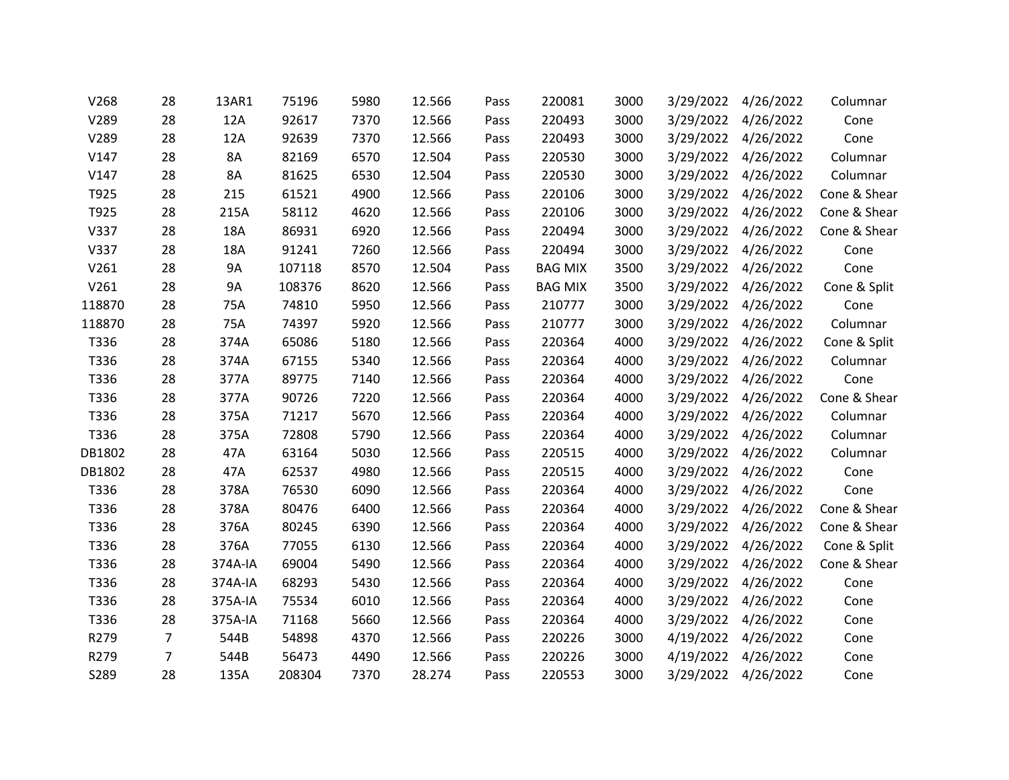| V268   | 28             | 13AR1     | 75196  | 5980 | 12.566 | Pass | 220081         | 3000 | 3/29/2022 | 4/26/2022           | Columnar     |
|--------|----------------|-----------|--------|------|--------|------|----------------|------|-----------|---------------------|--------------|
| V289   | 28             | 12A       | 92617  | 7370 | 12.566 | Pass | 220493         | 3000 | 3/29/2022 | 4/26/2022           | Cone         |
| V289   | 28             | 12A       | 92639  | 7370 | 12.566 | Pass | 220493         | 3000 |           | 3/29/2022 4/26/2022 | Cone         |
| V147   | 28             | 8A        | 82169  | 6570 | 12.504 | Pass | 220530         | 3000 | 3/29/2022 | 4/26/2022           | Columnar     |
| V147   | 28             | <b>8A</b> | 81625  | 6530 | 12.504 | Pass | 220530         | 3000 | 3/29/2022 | 4/26/2022           | Columnar     |
| T925   | 28             | 215       | 61521  | 4900 | 12.566 | Pass | 220106         | 3000 | 3/29/2022 | 4/26/2022           | Cone & Shear |
| T925   | 28             | 215A      | 58112  | 4620 | 12.566 | Pass | 220106         | 3000 | 3/29/2022 | 4/26/2022           | Cone & Shear |
| V337   | 28             | 18A       | 86931  | 6920 | 12.566 | Pass | 220494         | 3000 | 3/29/2022 | 4/26/2022           | Cone & Shear |
| V337   | 28             | 18A       | 91241  | 7260 | 12.566 | Pass | 220494         | 3000 | 3/29/2022 | 4/26/2022           | Cone         |
| V261   | 28             | 9A        | 107118 | 8570 | 12.504 | Pass | <b>BAG MIX</b> | 3500 | 3/29/2022 | 4/26/2022           | Cone         |
| V261   | 28             | <b>9A</b> | 108376 | 8620 | 12.566 | Pass | <b>BAG MIX</b> | 3500 | 3/29/2022 | 4/26/2022           | Cone & Split |
| 118870 | 28             | 75A       | 74810  | 5950 | 12.566 | Pass | 210777         | 3000 | 3/29/2022 | 4/26/2022           | Cone         |
| 118870 | 28             | 75A       | 74397  | 5920 | 12.566 | Pass | 210777         | 3000 | 3/29/2022 | 4/26/2022           | Columnar     |
| T336   | 28             | 374A      | 65086  | 5180 | 12.566 | Pass | 220364         | 4000 | 3/29/2022 | 4/26/2022           | Cone & Split |
| T336   | 28             | 374A      | 67155  | 5340 | 12.566 | Pass | 220364         | 4000 | 3/29/2022 | 4/26/2022           | Columnar     |
| T336   | 28             | 377A      | 89775  | 7140 | 12.566 | Pass | 220364         | 4000 | 3/29/2022 | 4/26/2022           | Cone         |
| T336   | 28             | 377A      | 90726  | 7220 | 12.566 | Pass | 220364         | 4000 | 3/29/2022 | 4/26/2022           | Cone & Shear |
| T336   | 28             | 375A      | 71217  | 5670 | 12.566 | Pass | 220364         | 4000 | 3/29/2022 | 4/26/2022           | Columnar     |
| T336   | 28             | 375A      | 72808  | 5790 | 12.566 | Pass | 220364         | 4000 | 3/29/2022 | 4/26/2022           | Columnar     |
| DB1802 | 28             | 47A       | 63164  | 5030 | 12.566 | Pass | 220515         | 4000 |           | 3/29/2022 4/26/2022 | Columnar     |
| DB1802 | 28             | 47A       | 62537  | 4980 | 12.566 | Pass | 220515         | 4000 | 3/29/2022 | 4/26/2022           | Cone         |
| T336   | 28             | 378A      | 76530  | 6090 | 12.566 | Pass | 220364         | 4000 | 3/29/2022 | 4/26/2022           | Cone         |
| T336   | 28             | 378A      | 80476  | 6400 | 12.566 | Pass | 220364         | 4000 |           | 3/29/2022 4/26/2022 | Cone & Shear |
| T336   | 28             | 376A      | 80245  | 6390 | 12.566 | Pass | 220364         | 4000 | 3/29/2022 | 4/26/2022           | Cone & Shear |
| T336   | 28             | 376A      | 77055  | 6130 | 12.566 | Pass | 220364         | 4000 | 3/29/2022 | 4/26/2022           | Cone & Split |
| T336   | 28             | 374A-IA   | 69004  | 5490 | 12.566 | Pass | 220364         | 4000 |           | 3/29/2022 4/26/2022 | Cone & Shear |
| T336   | 28             | 374A-IA   | 68293  | 5430 | 12.566 | Pass | 220364         | 4000 | 3/29/2022 | 4/26/2022           | Cone         |
| T336   | 28             | 375A-IA   | 75534  | 6010 | 12.566 | Pass | 220364         | 4000 | 3/29/2022 | 4/26/2022           | Cone         |
| T336   | 28             | 375A-IA   | 71168  | 5660 | 12.566 | Pass | 220364         | 4000 | 3/29/2022 | 4/26/2022           | Cone         |
| R279   | 7              | 544B      | 54898  | 4370 | 12.566 | Pass | 220226         | 3000 | 4/19/2022 | 4/26/2022           | Cone         |
| R279   | $\overline{7}$ | 544B      | 56473  | 4490 | 12.566 | Pass | 220226         | 3000 | 4/19/2022 | 4/26/2022           | Cone         |
| S289   | 28             | 135A      | 208304 | 7370 | 28.274 | Pass | 220553         | 3000 | 3/29/2022 | 4/26/2022           | Cone         |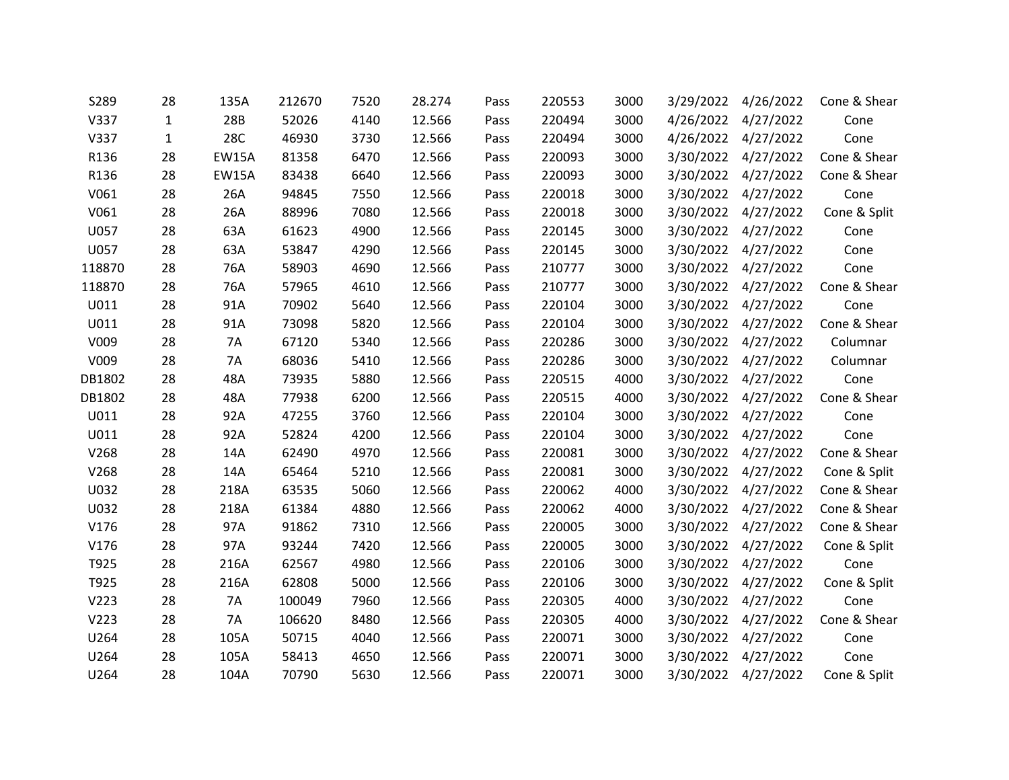| S289   | 28           | 135A         | 212670 | 7520 | 28.274 | Pass | 220553 | 3000 | 3/29/2022 | 4/26/2022           | Cone & Shear |
|--------|--------------|--------------|--------|------|--------|------|--------|------|-----------|---------------------|--------------|
| V337   | $\mathbf{1}$ | 28B          | 52026  | 4140 | 12.566 | Pass | 220494 | 3000 | 4/26/2022 | 4/27/2022           | Cone         |
| V337   | $\mathbf{1}$ | <b>28C</b>   | 46930  | 3730 | 12.566 | Pass | 220494 | 3000 |           | 4/26/2022 4/27/2022 | Cone         |
| R136   | 28           | <b>EW15A</b> | 81358  | 6470 | 12.566 | Pass | 220093 | 3000 | 3/30/2022 | 4/27/2022           | Cone & Shear |
| R136   | 28           | <b>EW15A</b> | 83438  | 6640 | 12.566 | Pass | 220093 | 3000 | 3/30/2022 | 4/27/2022           | Cone & Shear |
| V061   | 28           | 26A          | 94845  | 7550 | 12.566 | Pass | 220018 | 3000 | 3/30/2022 | 4/27/2022           | Cone         |
| V061   | 28           | 26A          | 88996  | 7080 | 12.566 | Pass | 220018 | 3000 | 3/30/2022 | 4/27/2022           | Cone & Split |
| U057   | 28           | 63A          | 61623  | 4900 | 12.566 | Pass | 220145 | 3000 | 3/30/2022 | 4/27/2022           | Cone         |
| U057   | 28           | 63A          | 53847  | 4290 | 12.566 | Pass | 220145 | 3000 |           | 3/30/2022 4/27/2022 | Cone         |
| 118870 | 28           | 76A          | 58903  | 4690 | 12.566 | Pass | 210777 | 3000 | 3/30/2022 | 4/27/2022           | Cone         |
| 118870 | 28           | 76A          | 57965  | 4610 | 12.566 | Pass | 210777 | 3000 | 3/30/2022 | 4/27/2022           | Cone & Shear |
| U011   | 28           | 91A          | 70902  | 5640 | 12.566 | Pass | 220104 | 3000 | 3/30/2022 | 4/27/2022           | Cone         |
| U011   | 28           | 91A          | 73098  | 5820 | 12.566 | Pass | 220104 | 3000 | 3/30/2022 | 4/27/2022           | Cone & Shear |
| V009   | 28           | 7A           | 67120  | 5340 | 12.566 | Pass | 220286 | 3000 |           | 3/30/2022 4/27/2022 | Columnar     |
| V009   | 28           | 7A           | 68036  | 5410 | 12.566 | Pass | 220286 | 3000 | 3/30/2022 | 4/27/2022           | Columnar     |
| DB1802 | 28           | 48A          | 73935  | 5880 | 12.566 | Pass | 220515 | 4000 | 3/30/2022 | 4/27/2022           | Cone         |
| DB1802 | 28           | 48A          | 77938  | 6200 | 12.566 | Pass | 220515 | 4000 |           | 3/30/2022 4/27/2022 | Cone & Shear |
| U011   | 28           | 92A          | 47255  | 3760 | 12.566 | Pass | 220104 | 3000 | 3/30/2022 | 4/27/2022           | Cone         |
| U011   | 28           | 92A          | 52824  | 4200 | 12.566 | Pass | 220104 | 3000 | 3/30/2022 | 4/27/2022           | Cone         |
| V268   | 28           | 14A          | 62490  | 4970 | 12.566 | Pass | 220081 | 3000 |           | 3/30/2022 4/27/2022 | Cone & Shear |
| V268   | 28           | 14A          | 65464  | 5210 | 12.566 | Pass | 220081 | 3000 | 3/30/2022 | 4/27/2022           | Cone & Split |
| U032   | 28           | 218A         | 63535  | 5060 | 12.566 | Pass | 220062 | 4000 | 3/30/2022 | 4/27/2022           | Cone & Shear |
| U032   | 28           | 218A         | 61384  | 4880 | 12.566 | Pass | 220062 | 4000 |           | 3/30/2022 4/27/2022 | Cone & Shear |
| V176   | 28           | 97A          | 91862  | 7310 | 12.566 | Pass | 220005 | 3000 | 3/30/2022 | 4/27/2022           | Cone & Shear |
| V176   | 28           | 97A          | 93244  | 7420 | 12.566 | Pass | 220005 | 3000 | 3/30/2022 | 4/27/2022           | Cone & Split |
| T925   | 28           | 216A         | 62567  | 4980 | 12.566 | Pass | 220106 | 3000 |           | 3/30/2022 4/27/2022 | Cone         |
| T925   | 28           | 216A         | 62808  | 5000 | 12.566 | Pass | 220106 | 3000 | 3/30/2022 | 4/27/2022           | Cone & Split |
| V223   | 28           | <b>7A</b>    | 100049 | 7960 | 12.566 | Pass | 220305 | 4000 | 3/30/2022 | 4/27/2022           | Cone         |
| V223   | 28           | 7A           | 106620 | 8480 | 12.566 | Pass | 220305 | 4000 | 3/30/2022 | 4/27/2022           | Cone & Shear |
| U264   | 28           | 105A         | 50715  | 4040 | 12.566 | Pass | 220071 | 3000 | 3/30/2022 | 4/27/2022           | Cone         |
| U264   | 28           | 105A         | 58413  | 4650 | 12.566 | Pass | 220071 | 3000 | 3/30/2022 | 4/27/2022           | Cone         |
| U264   | 28           | 104A         | 70790  | 5630 | 12.566 | Pass | 220071 | 3000 | 3/30/2022 | 4/27/2022           | Cone & Split |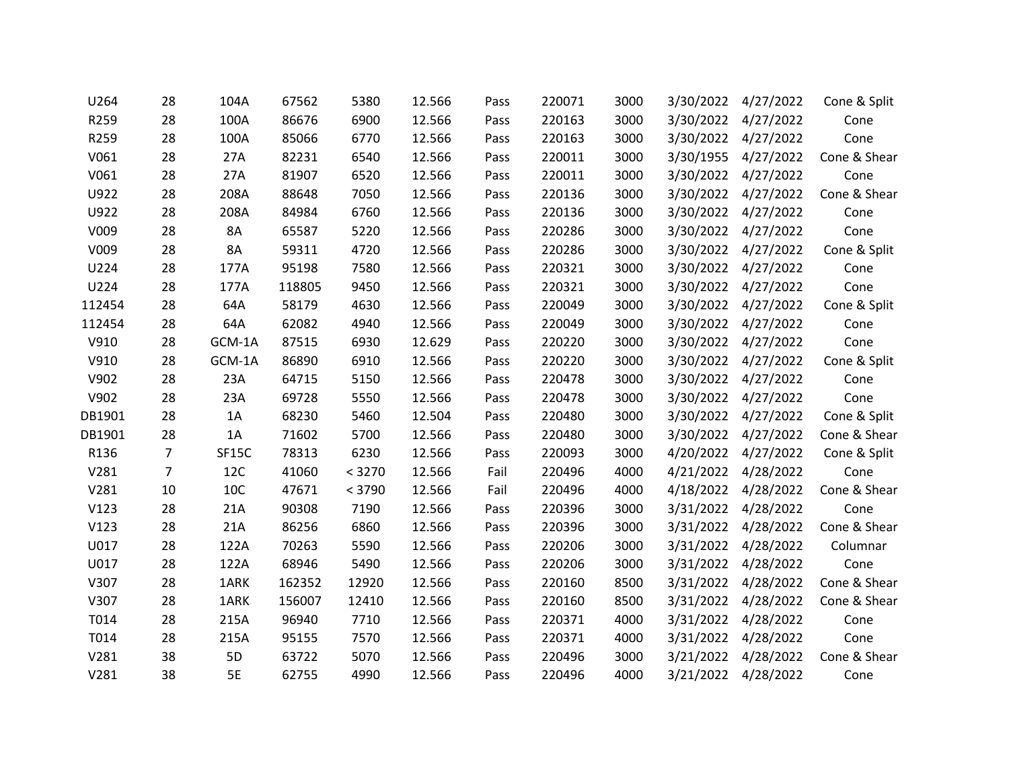| U264   | 28             | 104A      | 67562  | 5380   | 12.566 | Pass | 220071 | 3000 | 3/30/2022 | 4/27/2022           | Cone & Split |
|--------|----------------|-----------|--------|--------|--------|------|--------|------|-----------|---------------------|--------------|
| R259   | 28             | 100A      | 86676  | 6900   | 12.566 | Pass | 220163 | 3000 | 3/30/2022 | 4/27/2022           | Cone         |
| R259   | 28             | 100A      | 85066  | 6770   | 12.566 | Pass | 220163 | 3000 |           | 3/30/2022 4/27/2022 | Cone         |
| V061   | 28             | 27A       | 82231  | 6540   | 12.566 | Pass | 220011 | 3000 | 3/30/1955 | 4/27/2022           | Cone & Shear |
| V061   | 28             | 27A       | 81907  | 6520   | 12.566 | Pass | 220011 | 3000 | 3/30/2022 | 4/27/2022           | Cone         |
| U922   | 28             | 208A      | 88648  | 7050   | 12.566 | Pass | 220136 | 3000 | 3/30/2022 | 4/27/2022           | Cone & Shear |
| U922   | 28             | 208A      | 84984  | 6760   | 12.566 | Pass | 220136 | 3000 | 3/30/2022 | 4/27/2022           | Cone         |
| V009   | 28             | 8A        | 65587  | 5220   | 12.566 | Pass | 220286 | 3000 |           | 3/30/2022 4/27/2022 | Cone         |
| V009   | 28             | 8A        | 59311  | 4720   | 12.566 | Pass | 220286 | 3000 |           | 3/30/2022 4/27/2022 | Cone & Split |
| U224   | 28             | 177A      | 95198  | 7580   | 12.566 | Pass | 220321 | 3000 | 3/30/2022 | 4/27/2022           | Cone         |
| U224   | 28             | 177A      | 118805 | 9450   | 12.566 | Pass | 220321 | 3000 | 3/30/2022 | 4/27/2022           | Cone         |
| 112454 | 28             | 64A       | 58179  | 4630   | 12.566 | Pass | 220049 | 3000 | 3/30/2022 | 4/27/2022           | Cone & Split |
| 112454 | 28             | 64A       | 62082  | 4940   | 12.566 | Pass | 220049 | 3000 | 3/30/2022 | 4/27/2022           | Cone         |
| V910   | 28             | GCM-1A    | 87515  | 6930   | 12.629 | Pass | 220220 | 3000 |           | 3/30/2022 4/27/2022 | Cone         |
| V910   | 28             | GCM-1A    | 86890  | 6910   | 12.566 | Pass | 220220 | 3000 | 3/30/2022 | 4/27/2022           | Cone & Split |
| V902   | 28             | 23A       | 64715  | 5150   | 12.566 | Pass | 220478 | 3000 | 3/30/2022 | 4/27/2022           | Cone         |
| V902   | 28             | 23A       | 69728  | 5550   | 12.566 | Pass | 220478 | 3000 | 3/30/2022 | 4/27/2022           | Cone         |
| DB1901 | 28             | 1A        | 68230  | 5460   | 12.504 | Pass | 220480 | 3000 | 3/30/2022 | 4/27/2022           | Cone & Split |
| DB1901 | 28             | 1A        | 71602  | 5700   | 12.566 | Pass | 220480 | 3000 | 3/30/2022 | 4/27/2022           | Cone & Shear |
| R136   | $\overline{7}$ | SF15C     | 78313  | 6230   | 12.566 | Pass | 220093 | 3000 |           | 4/20/2022 4/27/2022 | Cone & Split |
| V281   | $\overline{7}$ | 12C       | 41060  | < 3270 | 12.566 | Fail | 220496 | 4000 | 4/21/2022 | 4/28/2022           | Cone         |
| V281   | 10             | 10C       | 47671  | < 3790 | 12.566 | Fail | 220496 | 4000 | 4/18/2022 | 4/28/2022           | Cone & Shear |
| V123   | 28             | 21A       | 90308  | 7190   | 12.566 | Pass | 220396 | 3000 |           | 3/31/2022 4/28/2022 | Cone         |
| V123   | 28             | 21A       | 86256  | 6860   | 12.566 | Pass | 220396 | 3000 | 3/31/2022 | 4/28/2022           | Cone & Shear |
| U017   | 28             | 122A      | 70263  | 5590   | 12.566 | Pass | 220206 | 3000 | 3/31/2022 | 4/28/2022           | Columnar     |
| U017   | 28             | 122A      | 68946  | 5490   | 12.566 | Pass | 220206 | 3000 |           | 3/31/2022 4/28/2022 | Cone         |
| V307   | 28             | 1ARK      | 162352 | 12920  | 12.566 | Pass | 220160 | 8500 | 3/31/2022 | 4/28/2022           | Cone & Shear |
| V307   | 28             | 1ARK      | 156007 | 12410  | 12.566 | Pass | 220160 | 8500 | 3/31/2022 | 4/28/2022           | Cone & Shear |
| T014   | 28             | 215A      | 96940  | 7710   | 12.566 | Pass | 220371 | 4000 | 3/31/2022 | 4/28/2022           | Cone         |
| T014   | 28             | 215A      | 95155  | 7570   | 12.566 | Pass | 220371 | 4000 | 3/31/2022 | 4/28/2022           | Cone         |
| V281   | 38             | 5D        | 63722  | 5070   | 12.566 | Pass | 220496 | 3000 | 3/21/2022 | 4/28/2022           | Cone & Shear |
| V281   | 38             | <b>5E</b> | 62755  | 4990   | 12.566 | Pass | 220496 | 4000 | 3/21/2022 | 4/28/2022           | Cone         |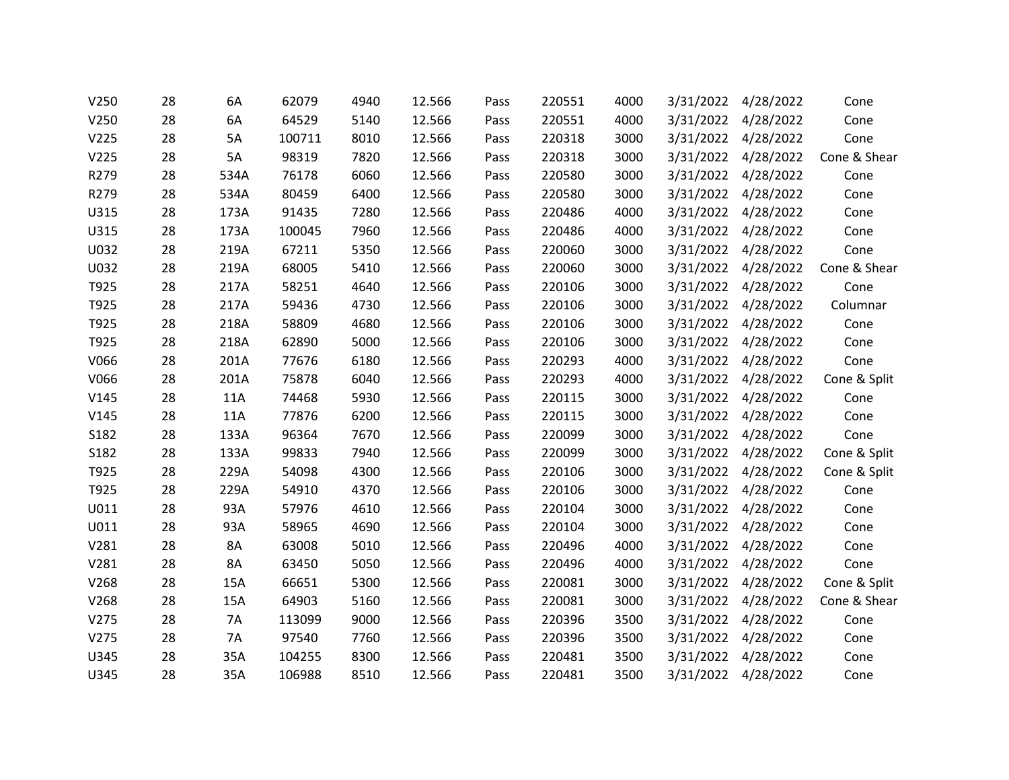| V250 | 28 | 6A   | 62079  | 4940 | 12.566 | Pass | 220551 | 4000 | 3/31/2022 | 4/28/2022           | Cone         |
|------|----|------|--------|------|--------|------|--------|------|-----------|---------------------|--------------|
| V250 | 28 | 6A   | 64529  | 5140 | 12.566 | Pass | 220551 | 4000 |           | 3/31/2022 4/28/2022 | Cone         |
| V225 | 28 | 5A   | 100711 | 8010 | 12.566 | Pass | 220318 | 3000 |           | 3/31/2022 4/28/2022 | Cone         |
| V225 | 28 | 5A   | 98319  | 7820 | 12.566 | Pass | 220318 | 3000 |           | 3/31/2022 4/28/2022 | Cone & Shear |
| R279 | 28 | 534A | 76178  | 6060 | 12.566 | Pass | 220580 | 3000 |           | 3/31/2022 4/28/2022 | Cone         |
| R279 | 28 | 534A | 80459  | 6400 | 12.566 | Pass | 220580 | 3000 |           | 3/31/2022 4/28/2022 | Cone         |
| U315 | 28 | 173A | 91435  | 7280 | 12.566 | Pass | 220486 | 4000 |           | 3/31/2022 4/28/2022 | Cone         |
| U315 | 28 | 173A | 100045 | 7960 | 12.566 | Pass | 220486 | 4000 |           | 3/31/2022 4/28/2022 | Cone         |
| U032 | 28 | 219A | 67211  | 5350 | 12.566 | Pass | 220060 | 3000 |           | 3/31/2022 4/28/2022 | Cone         |
| U032 | 28 | 219A | 68005  | 5410 | 12.566 | Pass | 220060 | 3000 | 3/31/2022 | 4/28/2022           | Cone & Shear |
| T925 | 28 | 217A | 58251  | 4640 | 12.566 | Pass | 220106 | 3000 |           | 3/31/2022 4/28/2022 | Cone         |
| T925 | 28 | 217A | 59436  | 4730 | 12.566 | Pass | 220106 | 3000 |           | 3/31/2022 4/28/2022 | Columnar     |
| T925 | 28 | 218A | 58809  | 4680 | 12.566 | Pass | 220106 | 3000 |           | 3/31/2022 4/28/2022 | Cone         |
| T925 | 28 | 218A | 62890  | 5000 | 12.566 | Pass | 220106 | 3000 |           | 3/31/2022 4/28/2022 | Cone         |
| V066 | 28 | 201A | 77676  | 6180 | 12.566 | Pass | 220293 | 4000 |           | 3/31/2022 4/28/2022 | Cone         |
| V066 | 28 | 201A | 75878  | 6040 | 12.566 | Pass | 220293 | 4000 | 3/31/2022 | 4/28/2022           | Cone & Split |
| V145 | 28 | 11A  | 74468  | 5930 | 12.566 | Pass | 220115 | 3000 |           | 3/31/2022 4/28/2022 | Cone         |
| V145 | 28 | 11A  | 77876  | 6200 | 12.566 | Pass | 220115 | 3000 |           | 3/31/2022 4/28/2022 | Cone         |
| S182 | 28 | 133A | 96364  | 7670 | 12.566 | Pass | 220099 | 3000 |           | 3/31/2022 4/28/2022 | Cone         |
| S182 | 28 | 133A | 99833  | 7940 | 12.566 | Pass | 220099 | 3000 |           | 3/31/2022 4/28/2022 | Cone & Split |
| T925 | 28 | 229A | 54098  | 4300 | 12.566 | Pass | 220106 | 3000 |           | 3/31/2022 4/28/2022 | Cone & Split |
| T925 | 28 | 229A | 54910  | 4370 | 12.566 | Pass | 220106 | 3000 |           | 3/31/2022 4/28/2022 | Cone         |
| U011 | 28 | 93A  | 57976  | 4610 | 12.566 | Pass | 220104 | 3000 |           | 3/31/2022 4/28/2022 | Cone         |
| U011 | 28 | 93A  | 58965  | 4690 | 12.566 | Pass | 220104 | 3000 |           | 3/31/2022 4/28/2022 | Cone         |
| V281 | 28 | 8A   | 63008  | 5010 | 12.566 | Pass | 220496 | 4000 |           | 3/31/2022 4/28/2022 | Cone         |
| V281 | 28 | 8A   | 63450  | 5050 | 12.566 | Pass | 220496 | 4000 |           | 3/31/2022 4/28/2022 | Cone         |
| V268 | 28 | 15A  | 66651  | 5300 | 12.566 | Pass | 220081 | 3000 | 3/31/2022 | 4/28/2022           | Cone & Split |
| V268 | 28 | 15A  | 64903  | 5160 | 12.566 | Pass | 220081 | 3000 | 3/31/2022 | 4/28/2022           | Cone & Shear |
| V275 | 28 | 7A   | 113099 | 9000 | 12.566 | Pass | 220396 | 3500 |           | 3/31/2022 4/28/2022 | Cone         |
| V275 | 28 | 7A   | 97540  | 7760 | 12.566 | Pass | 220396 | 3500 | 3/31/2022 | 4/28/2022           | Cone         |
| U345 | 28 | 35A  | 104255 | 8300 | 12.566 | Pass | 220481 | 3500 | 3/31/2022 | 4/28/2022           | Cone         |
| U345 | 28 | 35A  | 106988 | 8510 | 12.566 | Pass | 220481 | 3500 |           | 3/31/2022 4/28/2022 | Cone         |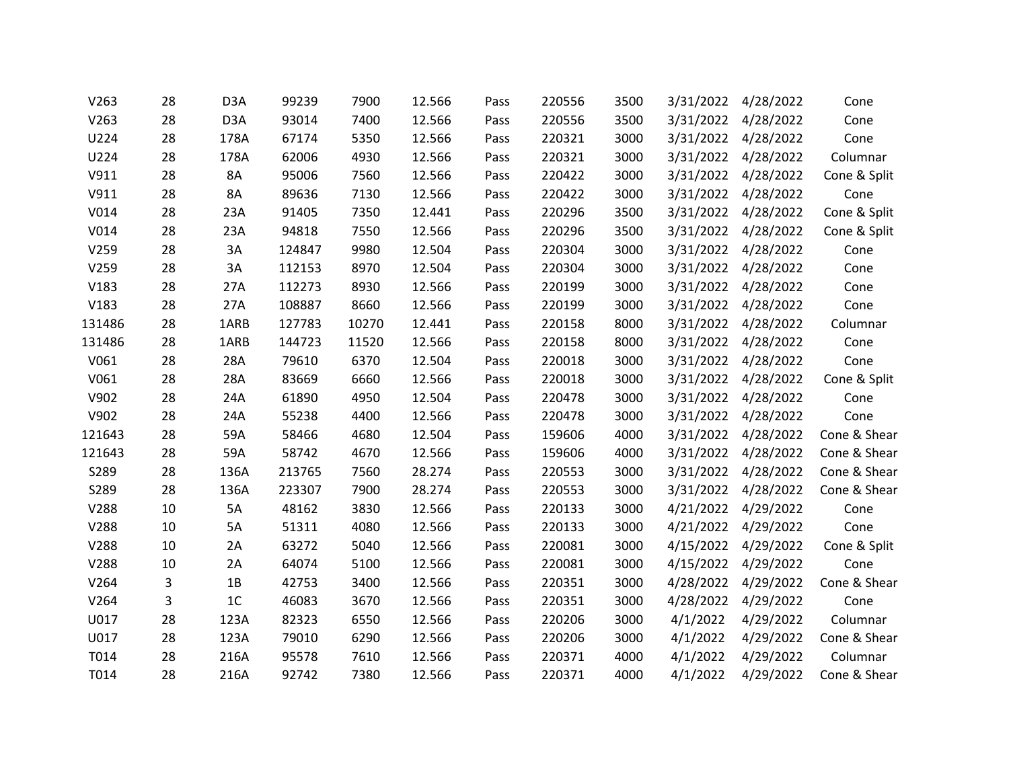| V263   | 28 | D <sub>3</sub> A | 99239  | 7900  | 12.566 | Pass | 220556 | 3500 | 3/31/2022 | 4/28/2022           | Cone         |
|--------|----|------------------|--------|-------|--------|------|--------|------|-----------|---------------------|--------------|
| V263   | 28 | D <sub>3</sub> A | 93014  | 7400  | 12.566 | Pass | 220556 | 3500 | 3/31/2022 | 4/28/2022           | Cone         |
| U224   | 28 | 178A             | 67174  | 5350  | 12.566 | Pass | 220321 | 3000 |           | 3/31/2022 4/28/2022 | Cone         |
| U224   | 28 | 178A             | 62006  | 4930  | 12.566 | Pass | 220321 | 3000 | 3/31/2022 | 4/28/2022           | Columnar     |
| V911   | 28 | 8A               | 95006  | 7560  | 12.566 | Pass | 220422 | 3000 | 3/31/2022 | 4/28/2022           | Cone & Split |
| V911   | 28 | 8A               | 89636  | 7130  | 12.566 | Pass | 220422 | 3000 | 3/31/2022 | 4/28/2022           | Cone         |
| V014   | 28 | 23A              | 91405  | 7350  | 12.441 | Pass | 220296 | 3500 | 3/31/2022 | 4/28/2022           | Cone & Split |
| V014   | 28 | 23A              | 94818  | 7550  | 12.566 | Pass | 220296 | 3500 | 3/31/2022 | 4/28/2022           | Cone & Split |
| V259   | 28 | 3A               | 124847 | 9980  | 12.504 | Pass | 220304 | 3000 | 3/31/2022 | 4/28/2022           | Cone         |
| V259   | 28 | 3A               | 112153 | 8970  | 12.504 | Pass | 220304 | 3000 | 3/31/2022 | 4/28/2022           | Cone         |
| V183   | 28 | 27A              | 112273 | 8930  | 12.566 | Pass | 220199 | 3000 | 3/31/2022 | 4/28/2022           | Cone         |
| V183   | 28 | 27A              | 108887 | 8660  | 12.566 | Pass | 220199 | 3000 | 3/31/2022 | 4/28/2022           | Cone         |
| 131486 | 28 | 1ARB             | 127783 | 10270 | 12.441 | Pass | 220158 | 8000 | 3/31/2022 | 4/28/2022           | Columnar     |
| 131486 | 28 | 1ARB             | 144723 | 11520 | 12.566 | Pass | 220158 | 8000 |           | 3/31/2022 4/28/2022 | Cone         |
| V061   | 28 | 28A              | 79610  | 6370  | 12.504 | Pass | 220018 | 3000 | 3/31/2022 | 4/28/2022           | Cone         |
| V061   | 28 | 28A              | 83669  | 6660  | 12.566 | Pass | 220018 | 3000 | 3/31/2022 | 4/28/2022           | Cone & Split |
| V902   | 28 | 24A              | 61890  | 4950  | 12.504 | Pass | 220478 | 3000 | 3/31/2022 | 4/28/2022           | Cone         |
| V902   | 28 | 24A              | 55238  | 4400  | 12.566 | Pass | 220478 | 3000 | 3/31/2022 | 4/28/2022           | Cone         |
| 121643 | 28 | 59A              | 58466  | 4680  | 12.504 | Pass | 159606 | 4000 | 3/31/2022 | 4/28/2022           | Cone & Shear |
| 121643 | 28 | 59A              | 58742  | 4670  | 12.566 | Pass | 159606 | 4000 |           | 3/31/2022 4/28/2022 | Cone & Shear |
| S289   | 28 | 136A             | 213765 | 7560  | 28.274 | Pass | 220553 | 3000 | 3/31/2022 | 4/28/2022           | Cone & Shear |
| S289   | 28 | 136A             | 223307 | 7900  | 28.274 | Pass | 220553 | 3000 | 3/31/2022 | 4/28/2022           | Cone & Shear |
| V288   | 10 | 5A               | 48162  | 3830  | 12.566 | Pass | 220133 | 3000 | 4/21/2022 | 4/29/2022           | Cone         |
| V288   | 10 | 5A               | 51311  | 4080  | 12.566 | Pass | 220133 | 3000 | 4/21/2022 | 4/29/2022           | Cone         |
| V288   | 10 | 2A               | 63272  | 5040  | 12.566 | Pass | 220081 | 3000 | 4/15/2022 | 4/29/2022           | Cone & Split |
| V288   | 10 | 2A               | 64074  | 5100  | 12.566 | Pass | 220081 | 3000 |           | 4/15/2022 4/29/2022 | Cone         |
| V264   | 3  | 1B               | 42753  | 3400  | 12.566 | Pass | 220351 | 3000 | 4/28/2022 | 4/29/2022           | Cone & Shear |
| V264   | 3  | 1 <sub>C</sub>   | 46083  | 3670  | 12.566 | Pass | 220351 | 3000 | 4/28/2022 | 4/29/2022           | Cone         |
| U017   | 28 | 123A             | 82323  | 6550  | 12.566 | Pass | 220206 | 3000 | 4/1/2022  | 4/29/2022           | Columnar     |
| U017   | 28 | 123A             | 79010  | 6290  | 12.566 | Pass | 220206 | 3000 | 4/1/2022  | 4/29/2022           | Cone & Shear |
| T014   | 28 | 216A             | 95578  | 7610  | 12.566 | Pass | 220371 | 4000 | 4/1/2022  | 4/29/2022           | Columnar     |
| T014   | 28 | 216A             | 92742  | 7380  | 12.566 | Pass | 220371 | 4000 | 4/1/2022  | 4/29/2022           | Cone & Shear |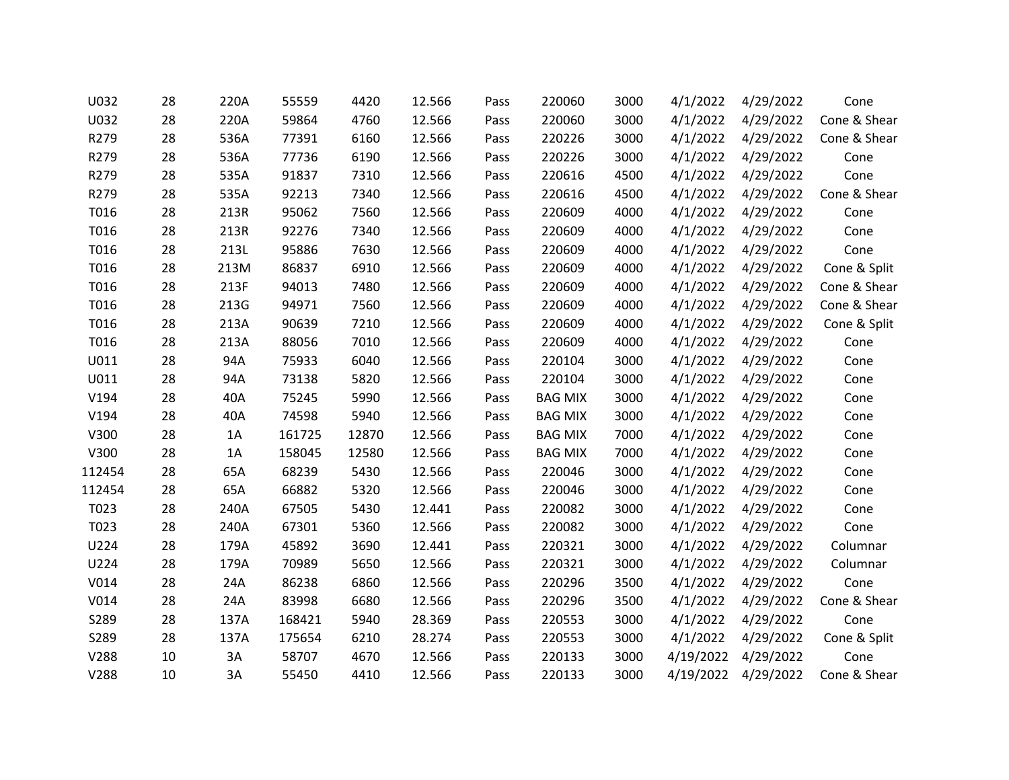| U032   | 28 | 220A | 55559  | 4420  | 12.566 | Pass | 220060         | 3000 | 4/1/2022  | 4/29/2022 | Cone         |
|--------|----|------|--------|-------|--------|------|----------------|------|-----------|-----------|--------------|
| U032   | 28 | 220A | 59864  | 4760  | 12.566 | Pass | 220060         | 3000 | 4/1/2022  | 4/29/2022 | Cone & Shear |
| R279   | 28 | 536A | 77391  | 6160  | 12.566 | Pass | 220226         | 3000 | 4/1/2022  | 4/29/2022 | Cone & Shear |
| R279   | 28 | 536A | 77736  | 6190  | 12.566 | Pass | 220226         | 3000 | 4/1/2022  | 4/29/2022 | Cone         |
| R279   | 28 | 535A | 91837  | 7310  | 12.566 | Pass | 220616         | 4500 | 4/1/2022  | 4/29/2022 | Cone         |
| R279   | 28 | 535A | 92213  | 7340  | 12.566 | Pass | 220616         | 4500 | 4/1/2022  | 4/29/2022 | Cone & Shear |
| T016   | 28 | 213R | 95062  | 7560  | 12.566 | Pass | 220609         | 4000 | 4/1/2022  | 4/29/2022 | Cone         |
| T016   | 28 | 213R | 92276  | 7340  | 12.566 | Pass | 220609         | 4000 | 4/1/2022  | 4/29/2022 | Cone         |
| T016   | 28 | 213L | 95886  | 7630  | 12.566 | Pass | 220609         | 4000 | 4/1/2022  | 4/29/2022 | Cone         |
| T016   | 28 | 213M | 86837  | 6910  | 12.566 | Pass | 220609         | 4000 | 4/1/2022  | 4/29/2022 | Cone & Split |
| T016   | 28 | 213F | 94013  | 7480  | 12.566 | Pass | 220609         | 4000 | 4/1/2022  | 4/29/2022 | Cone & Shear |
| T016   | 28 | 213G | 94971  | 7560  | 12.566 | Pass | 220609         | 4000 | 4/1/2022  | 4/29/2022 | Cone & Shear |
| T016   | 28 | 213A | 90639  | 7210  | 12.566 | Pass | 220609         | 4000 | 4/1/2022  | 4/29/2022 | Cone & Split |
| T016   | 28 | 213A | 88056  | 7010  | 12.566 | Pass | 220609         | 4000 | 4/1/2022  | 4/29/2022 | Cone         |
| U011   | 28 | 94A  | 75933  | 6040  | 12.566 | Pass | 220104         | 3000 | 4/1/2022  | 4/29/2022 | Cone         |
| U011   | 28 | 94A  | 73138  | 5820  | 12.566 | Pass | 220104         | 3000 | 4/1/2022  | 4/29/2022 | Cone         |
| V194   | 28 | 40A  | 75245  | 5990  | 12.566 | Pass | <b>BAG MIX</b> | 3000 | 4/1/2022  | 4/29/2022 | Cone         |
| V194   | 28 | 40A  | 74598  | 5940  | 12.566 | Pass | <b>BAG MIX</b> | 3000 | 4/1/2022  | 4/29/2022 | Cone         |
| V300   | 28 | 1A   | 161725 | 12870 | 12.566 | Pass | <b>BAG MIX</b> | 7000 | 4/1/2022  | 4/29/2022 | Cone         |
| V300   | 28 | 1A   | 158045 | 12580 | 12.566 | Pass | <b>BAG MIX</b> | 7000 | 4/1/2022  | 4/29/2022 | Cone         |
| 112454 | 28 | 65A  | 68239  | 5430  | 12.566 | Pass | 220046         | 3000 | 4/1/2022  | 4/29/2022 | Cone         |
| 112454 | 28 | 65A  | 66882  | 5320  | 12.566 | Pass | 220046         | 3000 | 4/1/2022  | 4/29/2022 | Cone         |
| T023   | 28 | 240A | 67505  | 5430  | 12.441 | Pass | 220082         | 3000 | 4/1/2022  | 4/29/2022 | Cone         |
| T023   | 28 | 240A | 67301  | 5360  | 12.566 | Pass | 220082         | 3000 | 4/1/2022  | 4/29/2022 | Cone         |
| U224   | 28 | 179A | 45892  | 3690  | 12.441 | Pass | 220321         | 3000 | 4/1/2022  | 4/29/2022 | Columnar     |
| U224   | 28 | 179A | 70989  | 5650  | 12.566 | Pass | 220321         | 3000 | 4/1/2022  | 4/29/2022 | Columnar     |
| V014   | 28 | 24A  | 86238  | 6860  | 12.566 | Pass | 220296         | 3500 | 4/1/2022  | 4/29/2022 | Cone         |
| V014   | 28 | 24A  | 83998  | 6680  | 12.566 | Pass | 220296         | 3500 | 4/1/2022  | 4/29/2022 | Cone & Shear |
| S289   | 28 | 137A | 168421 | 5940  | 28.369 | Pass | 220553         | 3000 | 4/1/2022  | 4/29/2022 | Cone         |
| S289   | 28 | 137A | 175654 | 6210  | 28.274 | Pass | 220553         | 3000 | 4/1/2022  | 4/29/2022 | Cone & Split |
| V288   | 10 | 3A   | 58707  | 4670  | 12.566 | Pass | 220133         | 3000 | 4/19/2022 | 4/29/2022 | Cone         |
| V288   | 10 | 3A   | 55450  | 4410  | 12.566 | Pass | 220133         | 3000 | 4/19/2022 | 4/29/2022 | Cone & Shear |